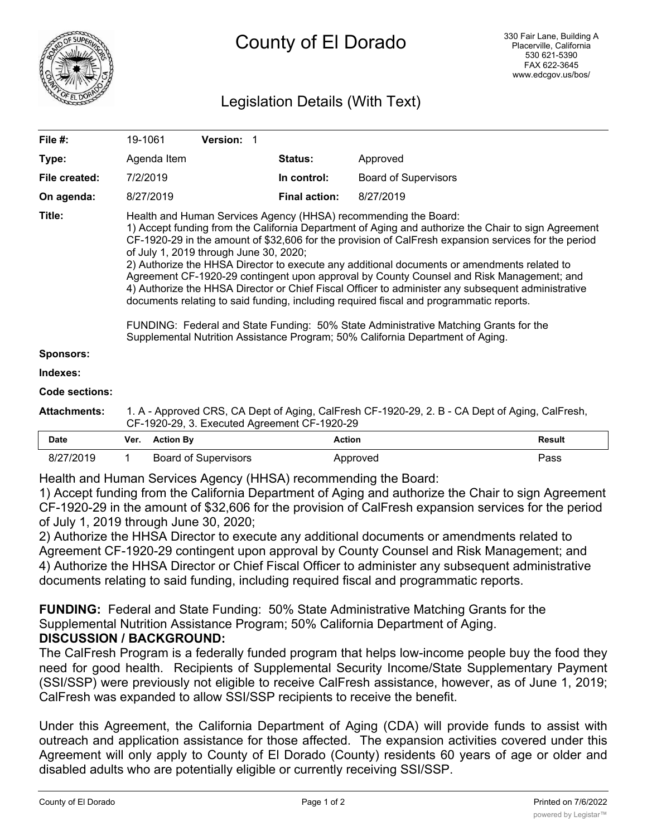

# Legislation Details (With Text)

| File #:             |                                                                                                                                                                                                                                                                                                                                                                                                                                                                                                                                                                                                                                                                                                                                                                                                                                                                                                | 19-1061<br><b>Version: 1</b> |                      |                             |               |
|---------------------|------------------------------------------------------------------------------------------------------------------------------------------------------------------------------------------------------------------------------------------------------------------------------------------------------------------------------------------------------------------------------------------------------------------------------------------------------------------------------------------------------------------------------------------------------------------------------------------------------------------------------------------------------------------------------------------------------------------------------------------------------------------------------------------------------------------------------------------------------------------------------------------------|------------------------------|----------------------|-----------------------------|---------------|
| Type:               |                                                                                                                                                                                                                                                                                                                                                                                                                                                                                                                                                                                                                                                                                                                                                                                                                                                                                                | Agenda Item                  | <b>Status:</b>       | Approved                    |               |
| File created:       |                                                                                                                                                                                                                                                                                                                                                                                                                                                                                                                                                                                                                                                                                                                                                                                                                                                                                                | 7/2/2019                     | In control:          | <b>Board of Supervisors</b> |               |
| On agenda:          |                                                                                                                                                                                                                                                                                                                                                                                                                                                                                                                                                                                                                                                                                                                                                                                                                                                                                                | 8/27/2019                    | <b>Final action:</b> | 8/27/2019                   |               |
| Title:              | Health and Human Services Agency (HHSA) recommending the Board:<br>1) Accept funding from the California Department of Aging and authorize the Chair to sign Agreement<br>CF-1920-29 in the amount of \$32,606 for the provision of CalFresh expansion services for the period<br>of July 1, 2019 through June 30, 2020;<br>2) Authorize the HHSA Director to execute any additional documents or amendments related to<br>Agreement CF-1920-29 contingent upon approval by County Counsel and Risk Management; and<br>4) Authorize the HHSA Director or Chief Fiscal Officer to administer any subsequent administrative<br>documents relating to said funding, including required fiscal and programmatic reports.<br>FUNDING: Federal and State Funding: 50% State Administrative Matching Grants for the<br>Supplemental Nutrition Assistance Program; 50% California Department of Aging. |                              |                      |                             |               |
| <b>Sponsors:</b>    |                                                                                                                                                                                                                                                                                                                                                                                                                                                                                                                                                                                                                                                                                                                                                                                                                                                                                                |                              |                      |                             |               |
| Indexes:            |                                                                                                                                                                                                                                                                                                                                                                                                                                                                                                                                                                                                                                                                                                                                                                                                                                                                                                |                              |                      |                             |               |
| Code sections:      |                                                                                                                                                                                                                                                                                                                                                                                                                                                                                                                                                                                                                                                                                                                                                                                                                                                                                                |                              |                      |                             |               |
| <b>Attachments:</b> | 1. A - Approved CRS, CA Dept of Aging, CalFresh CF-1920-29, 2. B - CA Dept of Aging, CalFresh,<br>CF-1920-29, 3. Executed Agreement CF-1920-29                                                                                                                                                                                                                                                                                                                                                                                                                                                                                                                                                                                                                                                                                                                                                 |                              |                      |                             |               |
| <b>Date</b>         | Ver.                                                                                                                                                                                                                                                                                                                                                                                                                                                                                                                                                                                                                                                                                                                                                                                                                                                                                           | <b>Action By</b>             | <b>Action</b>        |                             | <b>Result</b> |
| 8/27/2019           |                                                                                                                                                                                                                                                                                                                                                                                                                                                                                                                                                                                                                                                                                                                                                                                                                                                                                                | <b>Board of Supervisors</b>  |                      | Approved                    | Pass          |

Health and Human Services Agency (HHSA) recommending the Board:

1) Accept funding from the California Department of Aging and authorize the Chair to sign Agreement CF-1920-29 in the amount of \$32,606 for the provision of CalFresh expansion services for the period of July 1, 2019 through June 30, 2020;

2) Authorize the HHSA Director to execute any additional documents or amendments related to Agreement CF-1920-29 contingent upon approval by County Counsel and Risk Management; and 4) Authorize the HHSA Director or Chief Fiscal Officer to administer any subsequent administrative documents relating to said funding, including required fiscal and programmatic reports.

**FUNDING:** Federal and State Funding: 50% State Administrative Matching Grants for the Supplemental Nutrition Assistance Program; 50% California Department of Aging. **DISCUSSION / BACKGROUND:**

The CalFresh Program is a federally funded program that helps low-income people buy the food they need for good health. Recipients of Supplemental Security Income/State Supplementary Payment (SSI/SSP) were previously not eligible to receive CalFresh assistance, however, as of June 1, 2019; CalFresh was expanded to allow SSI/SSP recipients to receive the benefit.

Under this Agreement, the California Department of Aging (CDA) will provide funds to assist with outreach and application assistance for those affected. The expansion activities covered under this Agreement will only apply to County of El Dorado (County) residents 60 years of age or older and disabled adults who are potentially eligible or currently receiving SSI/SSP.